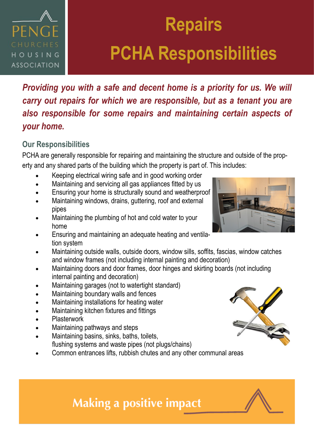## PENG HOUSING **ASSOCIATION**

# **Repairs PCHA Responsibilities**

*Providing you with a safe and decent home is a priority for us. We will carry out repairs for which we are responsible, but as a tenant you are also responsible for some repairs and maintaining certain aspects of your home.* 

### **Our Responsibilities**

PCHA are generally responsible for repairing and maintaining the structure and outside of the property and any shared parts of the building which the property is part of. This includes:

- Keeping electrical wiring safe and in good working order
- Maintaining and servicing all gas appliances fitted by us
- Ensuring your home is structurally sound and weatherproof
- Maintaining windows, drains, guttering, roof and external pipes
- Maintaining the plumbing of hot and cold water to your home
- Ensuring and maintaining an adequate heating and ventilation system
- Maintaining outside walls, outside doors, window sills, soffits, fascias, window catches and window frames (not including internal painting and decoration)
- Maintaining doors and door frames, door hinges and skirting boards (not including internal painting and decoration)
- Maintaining garages (not to watertight standard)
- Maintaining boundary walls and fences
- Maintaining installations for heating water
- Maintaining kitchen fixtures and fittings
- **Plasterwork**
- Maintaining pathways and steps
- Maintaining basins, sinks, baths, toilets, flushing systems and waste pipes (not plugs/chains)
- Common entrances lifts, rubbish chutes and any other communal areas





### **Making a positive impact**